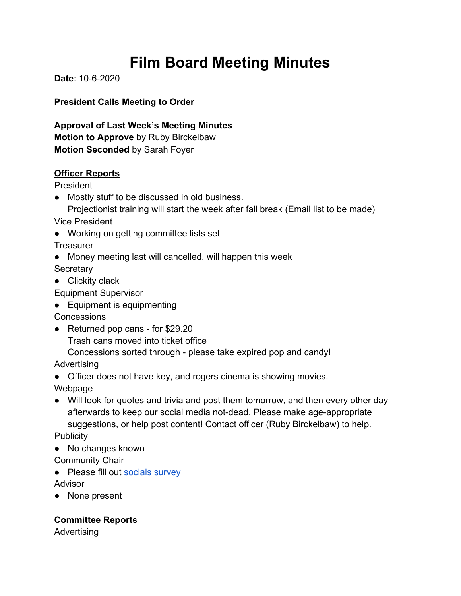# **Film Board Meeting Minutes**

**Date**: 10-6-2020

**President Calls Meeting to Order**

**Approval of Last Week's Meeting Minutes Motion to Approve** by Ruby Birckelbaw **Motion Seconded** by Sarah Foyer

### **Officer Reports**

President

● Mostly stuff to be discussed in old business. Projectionist training will start the week after fall break (Email list to be made)

Vice President

● Working on getting committee lists set

**Treasurer** 

- Money meeting last will cancelled, will happen this week **Secretary**
- Clickity clack

Equipment Supervisor

● Equipment is equipmenting

**Concessions** 

● Returned pop cans - for \$29.20

Trash cans moved into ticket office

Concessions sorted through - please take expired pop and candy!

Advertising

• Officer does not have key, and rogers cinema is showing movies.

Webpage

- Will look for quotes and trivia and post them tomorrow, and then every other day afterwards to keep our social media not-dead. Please make age-appropriate suggestions, or help post content! Contact officer (Ruby Birckelbaw) to help. **Publicity**
- No changes known

Community Chair

● Please fill out [socials survey](https://docs.google.com/forms/d/e/1FAIpQLSfPF64-rYc_1ERAthP3f7NZVbeuUyyBadWKr0FmpilpFN7R3Q/viewform?usp=sf_link)

Advisor

● None present

**Committee Reports**

Advertising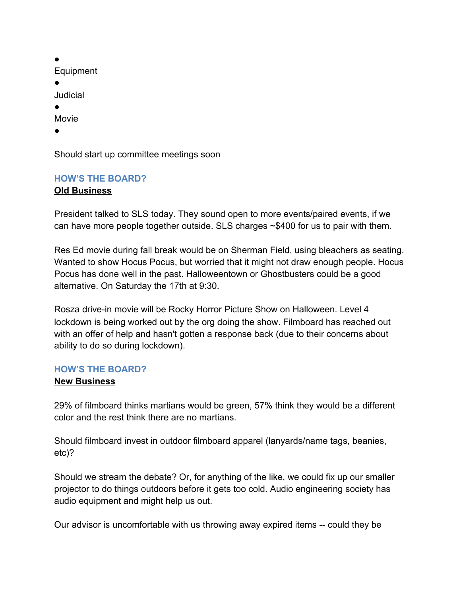| Equipment                               |
|-----------------------------------------|
|                                         |
| Judicial                                |
|                                         |
| Movie                                   |
|                                         |
|                                         |
| Should start up committee meetings soon |

# **HOW'S THE BOARD?**

## **Old Business**

President talked to SLS today. They sound open to more events/paired events, if we can have more people together outside. SLS charges ~\$400 for us to pair with them.

Res Ed movie during fall break would be on Sherman Field, using bleachers as seating. Wanted to show Hocus Pocus, but worried that it might not draw enough people. Hocus Pocus has done well in the past. Halloweentown or Ghostbusters could be a good alternative. On Saturday the 17th at 9:30.

Rosza drive-in movie will be Rocky Horror Picture Show on Halloween. Level 4 lockdown is being worked out by the org doing the show. Filmboard has reached out with an offer of help and hasn't gotten a response back (due to their concerns about ability to do so during lockdown).

#### **HOW'S THE BOARD?**

#### **New Business**

29% of filmboard thinks martians would be green, 57% think they would be a different color and the rest think there are no martians.

Should filmboard invest in outdoor filmboard apparel (lanyards/name tags, beanies, etc)?

Should we stream the debate? Or, for anything of the like, we could fix up our smaller projector to do things outdoors before it gets too cold. Audio engineering society has audio equipment and might help us out.

Our advisor is uncomfortable with us throwing away expired items -- could they be